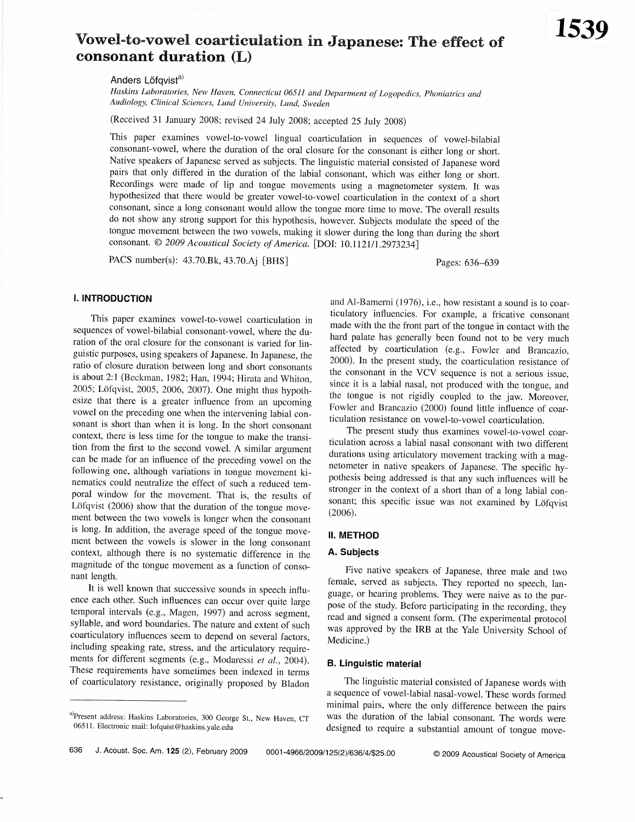# Vowel-to-vowel coarticulation in Japanese: The effect of consonant duration (L)

Anders Löfavist<sup>a)</sup>

Haskins Laboratories, New Haven, Connecticut 06511 and Department of Logopedics, Phoniatrics and Audiology, Clinical Sciences, Lund University, Lund, Sweden

(Received 31 January 2008; revised 24 July 2008; accepted 25 July 2008)

This paper examines vowel-to-vowel lingual coarticulation in sequences of vowel-bilabial consonant-vowel, where the duration of the oral closure for the consonant is either long or short. Native speakers of Japanese served as subjects. The linguistic material consisted of Japanese word pairs that only differed in the duration of the labial consonant, which was either long or short. Recordings were made of lip and tongue movements using a magnetometer system. It was hypothesized that there would be greater vowel-to-vowel coarticulation in the context of a short consonant, since a long consonant would allow the tongue more time to move. The overall results do not show any strong support for this hypothesis, however. Subjects modulate the speed of the tongue movement between the two vowels, making it slower during the long than during the short consonant. © 2009 Acoustical Society of America. [DOI: 10.1121/1.2973234]

PACS number(s): 43.70.Bk, 43.70.Aj [BHS]

Pages: 636-639

# **I. INTRODUCTION**

This paper examines vowel-to-vowel coarticulation in sequences of vowel-bilabial consonant-vowel, where the duration of the oral closure for the consonant is varied for linguistic purposes, using speakers of Japanese. In Japanese, the ratio of closure duration between long and short consonants is about 2:1 (Beckman, 1982; Han, 1994; Hirata and Whiton, 2005; Löfqvist, 2005, 2006, 2007). One might thus hypothesize that there is a greater influence from an upcoming vowel on the preceding one when the intervening labial consonant is short than when it is long. In the short consonant context, there is less time for the tongue to make the transition from the first to the second vowel. A similar argument can be made for an influence of the preceding vowel on the following one, although variations in tongue movement kinematics could neutralize the effect of such a reduced temporal window for the movement. That is, the results of Löfqvist (2006) show that the duration of the tongue movement between the two vowels is longer when the consonant is long. In addition, the average speed of the tongue movement between the vowels is slower in the long consonant context, although there is no systematic difference in the magnitude of the tongue movement as a function of consonant length.

It is well known that successive sounds in speech influence each other. Such influences can occur over quite large temporal intervals (e.g., Magen, 1997) and across segment, syllable, and word boundaries. The nature and extent of such coarticulatory influences seem to depend on several factors, including speaking rate, stress, and the articulatory requirements for different segments (e.g., Modaressi et al., 2004). These requirements have sometimes been indexed in terms of coarticulatory resistance, originally proposed by Bladon

and Al-Bamerni (1976), i.e., how resistant a sound is to coarticulatory influencies. For example, a fricative consonant made with the the front part of the tongue in contact with the hard palate has generally been found not to be very much affected by coarticulation (e.g., Fowler and Brancazio, 2000). In the present study, the coarticulation resistance of the consonant in the VCV sequence is not a serious issue. since it is a labial nasal, not produced with the tongue, and the tongue is not rigidly coupled to the jaw. Moreover, Fowler and Brancazio (2000) found little influence of coarticulation resistance on vowel-to-vowel coarticulation.

The present study thus examines vowel-to-vowel coarticulation across a labial nasal consonant with two different durations using articulatory movement tracking with a magnetometer in native speakers of Japanese. The specific hypothesis being addressed is that any such influences will be stronger in the context of a short than of a long labial consonant; this specific issue was not examined by Löfqvist  $(2006).$ 

## **II. METHOD**

#### A. Subjects

Five native speakers of Japanese, three male and two female, served as subjects. They reported no speech, language, or hearing problems. They were naive as to the purpose of the study. Before participating in the recording, they read and signed a consent form. (The experimental protocol was approved by the IRB at the Yale University School of Medicine.)

#### **B. Linguistic material**

The linguistic material consisted of Japanese words with a sequence of vowel-labial nasal-vowel. These words formed minimal pairs, where the only difference between the pairs was the duration of the labial consonant. The words were designed to require a substantial amount of tongue move-

a) Present address: Haskins Laboratories, 300 George St., New Haven, CT 06511. Electronic mail: lofquist@haskins.yale.edu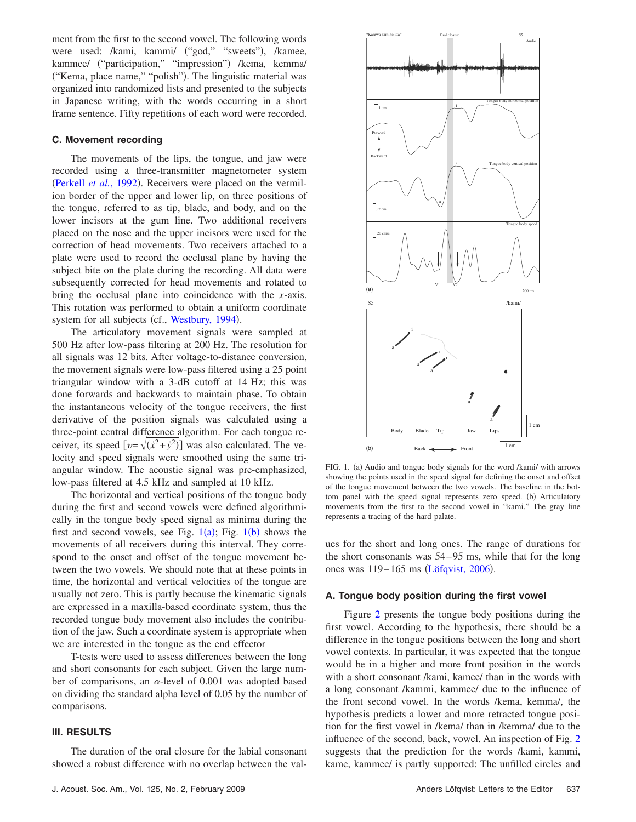ment from the first to the second vowel. The following words were used: /kami, kammi/ ("god," "sweets"), /kamee, kammee/ ("participation," "impression") /kema, kemma/ ("Kema, place name," "polish"). The linguistic material was organized into randomized lists and presented to the subjects in Japanese writing, with the words occurring in a short frame sentence. Fifty repetitions of each word were recorded.

## **C. Movement recording**

The movements of the lips, the tongue, and jaw were recorded using a three-transmitter magnetometer system ([Perkell](#page-3-0) et al., 1992). Receivers were placed on the vermilion border of the upper and lower lip, on three positions of the tongue, referred to as tip, blade, and body, and on the lower incisors at the gum line. Two additional receivers placed on the nose and the upper incisors were used for the correction of head movements. Two receivers attached to a plate were used to record the occlusal plane by having the subject bite on the plate during the recording. All data were subsequently corrected for head movements and rotated to bring the occlusal plane into coincidence with the *x*-axis. This rotation was performed to obtain a uniform coordinate system for all subjects (cf., [Westbury, 1994](#page-3-1)).

The articulatory movement signals were sampled at 500 Hz after low-pass filtering at 200 Hz. The resolution for all signals was 12 bits. After voltage-to-distance conversion, the movement signals were low-pass filtered using a 25 point triangular window with a 3-dB cutoff at 14 Hz; this was done forwards and backwards to maintain phase. To obtain the instantaneous velocity of the tongue receivers, the first derivative of the position signals was calculated using a three-point central difference algorithm. For each tongue receiver, its speed  $[v = \sqrt{(x^2 + y^2)}]$  was also calculated. The velocity and speed signals were smoothed using the same triangular window. The acoustic signal was pre-emphasized, low-pass filtered at 4.5 kHz and sampled at 10 kHz.

The horizontal and vertical positions of the tongue body during the first and second vowels were defined algorithmically in the tongue body speed signal as minima during the first and second vowels, see Fig.  $1(a)$  $1(a)$ ; Fig.  $1(b)$  shows the movements of all receivers during this interval. They correspond to the onset and offset of the tongue movement between the two vowels. We should note that at these points in time, the horizontal and vertical velocities of the tongue are usually not zero. This is partly because the kinematic signals are expressed in a maxilla-based coordinate system, thus the recorded tongue body movement also includes the contribution of the jaw. Such a coordinate system is appropriate when we are interested in the tongue as the end effector

T-tests were used to assess differences between the long and short consonants for each subject. Given the large number of comparisons, an  $\alpha$ -level of 0.001 was adopted based on dividing the standard alpha level of 0.05 by the number of comparisons.

# **III. RESULTS**

The duration of the oral closure for the labial consonant showed a robust difference with no overlap between the val-

<span id="page-1-0"></span>

FIG. 1. (a) Audio and tongue body signals for the word /kami/ with arrows showing the points used in the speed signal for defining the onset and offset of the tongue movement between the two vowels. The baseline in the bottom panel with the speed signal represents zero speed. (b) Articulatory movements from the first to the second vowel in "kami." The gray line represents a tracing of the hard palate.

ues for the short and long ones. The range of durations for the short consonants was 54–95 ms, while that for the long ones was 119-165 ms ([Löfqvist, 2006](#page-3-2)).

#### **A. Tongue body position during the first vowel**

Figure [2](#page-2-0) presents the tongue body positions during the first vowel. According to the hypothesis, there should be a difference in the tongue positions between the long and short vowel contexts. In particular, it was expected that the tongue would be in a higher and more front position in the words with a short consonant /kami, kamee/ than in the words with a long consonant /kammi, kammee/ due to the influence of the front second vowel. In the words /kema, kemma/, the hypothesis predicts a lower and more retracted tongue position for the first vowel in /kema/ than in /kemma/ due to the influence of the second, back, vowel. An inspection of Fig. [2](#page-2-0) suggests that the prediction for the words /kami, kammi, kame, kammee/ is partly supported: The unfilled circles and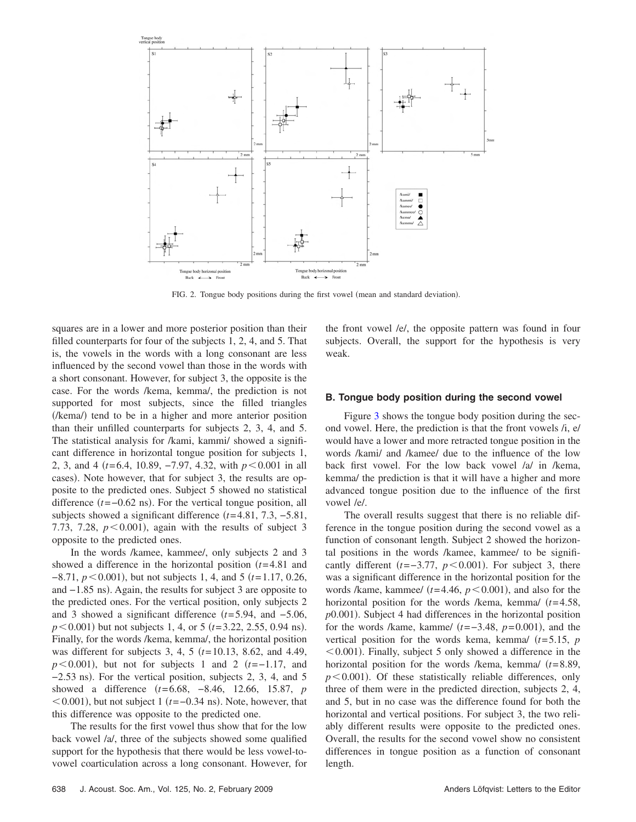<span id="page-2-0"></span>

FIG. 2. Tongue body positions during the first vowel (mean and standard deviation).

squares are in a lower and more posterior position than their filled counterparts for four of the subjects 1, 2, 4, and 5. That is, the vowels in the words with a long consonant are less influenced by the second vowel than those in the words with a short consonant. However, for subject 3, the opposite is the case. For the words /kema, kemma/, the prediction is not supported for most subjects, since the filled triangles (/kema/) tend to be in a higher and more anterior position than their unfilled counterparts for subjects 2, 3, 4, and 5. The statistical analysis for /kami, kammi/ showed a significant difference in horizontal tongue position for subjects 1, 2, 3, and 4 *(t*=6.4, 10.89, −7.97, 4.32, with *p* < 0.001 in all cases). Note however, that for subject 3, the results are opposite to the predicted ones. Subject 5 showed no statistical difference  $(t=-0.62 \text{ ns})$ . For the vertical tongue position, all subjects showed a significant difference *t*=4.81, 7.3, −5.81, 7.73, 7.28,  $p < 0.001$ ), again with the results of subject 3 opposite to the predicted ones.

In the words /kamee, kammee/, only subjects 2 and 3 showed a difference in the horizontal position *t*=4.81 and −8.71, *p* < 0.001), but not subjects 1, 4, and 5 (*t*=1.17, 0.26, and -1.85 ns). Again, the results for subject 3 are opposite to the predicted ones. For the vertical position, only subjects 2 and 3 showed a significant difference *t*=5.94, and −5.06,  $p < 0.001$ ) but not subjects 1, 4, or 5 ( $t = 3.22$ , 2.55, 0.94 ns). Finally, for the words /kema, kemma/, the horizontal position was different for subjects 3, 4, 5 ( $t=10.13$ , 8.62, and 4.49,  $p \le 0.001$ ), but not for subjects 1 and 2 *(t*=−1.17, and  $-2.53$  ns). For the vertical position, subjects 2, 3, 4, and 5 showed a difference *t*=6.68, −8.46, 12.66, 15.87, *p* <0.001), but not subject 1 (t=-0.34 ns). Note, however, that this difference was opposite to the predicted one.

The results for the first vowel thus show that for the low back vowel /a/, three of the subjects showed some qualified support for the hypothesis that there would be less vowel-tovowel coarticulation across a long consonant. However, for the front vowel /e/, the opposite pattern was found in four subjects. Overall, the support for the hypothesis is very weak.

#### **B. Tongue body position during the second vowel**

Figure [3](#page-3-3) shows the tongue body position during the second vowel. Here, the prediction is that the front vowels /i, e/ would have a lower and more retracted tongue position in the words /kami/ and /kamee/ due to the influence of the low back first vowel. For the low back vowel /a/ in /kema, kemma/ the prediction is that it will have a higher and more advanced tongue position due to the influence of the first vowel /e/.

The overall results suggest that there is no reliable difference in the tongue position during the second vowel as a function of consonant length. Subject 2 showed the horizontal positions in the words /kamee, kammee/ to be significantly different  $(t=-3.77, p<0.001)$ . For subject 3, there was a significant difference in the horizontal position for the words /kame, kammee/  $(t=4.46, p<0.001)$ , and also for the horizontal position for the words /kema, kemma/ (t=4.58, p0.001). Subject 4 had differences in the horizontal position for the words /kame, kamme/  $(t=-3.48, p=0.001)$ , and the vertical position for the words kema, kemma $/(t=5.15, p)$  $<$  0.001). Finally, subject 5 only showed a difference in the horizontal position for the words /kema, kemma/ *t*=8.89,  $p<0.001$ ). Of these statistically reliable differences, only three of them were in the predicted direction, subjects 2, 4, and 5, but in no case was the difference found for both the horizontal and vertical positions. For subject 3, the two reliably different results were opposite to the predicted ones. Overall, the results for the second vowel show no consistent differences in tongue position as a function of consonant length.